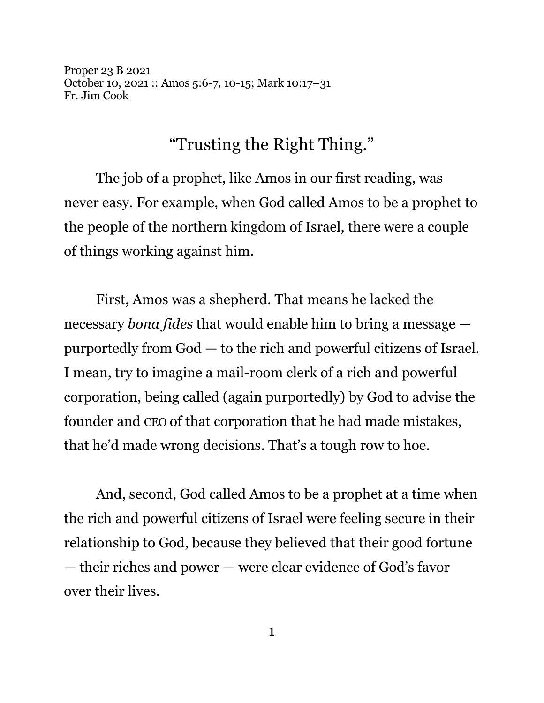Proper 23 B 2021 October 10, 2021 :: Amos 5:6-7, 10-15; Mark 10:17–31 Fr. Jim Cook

## "Trusting the Right Thing."

The job of a prophet, like Amos in our first reading, was never easy. For example, when God called Amos to be a prophet to the people of the northern kingdom of Israel, there were a couple of things working against him.

First, Amos was a shepherd. That means he lacked the necessary *bona fides* that would enable him to bring a message purportedly from God — to the rich and powerful citizens of Israel. I mean, try to imagine a mail-room clerk of a rich and powerful corporation, being called (again purportedly) by God to advise the founder and CEO of that corporation that he had made mistakes, that he'd made wrong decisions. That's a tough row to hoe.

And, second, God called Amos to be a prophet at a time when the rich and powerful citizens of Israel were feeling secure in their relationship to God, because they believed that their good fortune — their riches and power — were clear evidence of God's favor over their lives.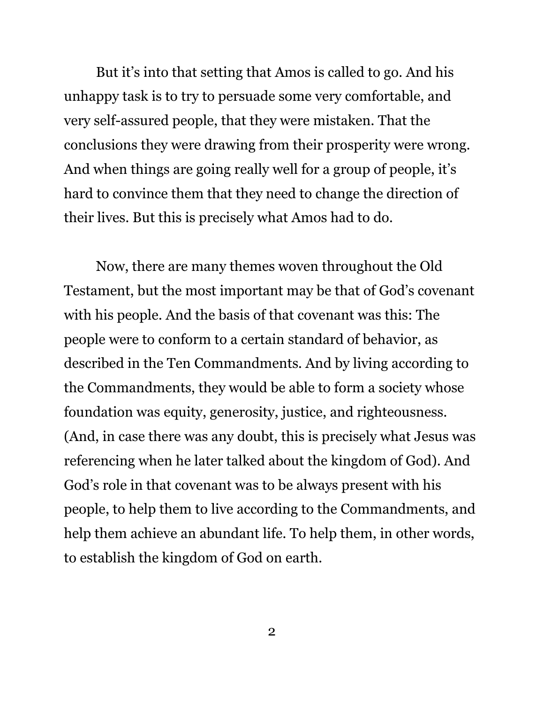But it's into that setting that Amos is called to go. And his unhappy task is to try to persuade some very comfortable, and very self-assured people, that they were mistaken. That the conclusions they were drawing from their prosperity were wrong. And when things are going really well for a group of people, it's hard to convince them that they need to change the direction of their lives. But this is precisely what Amos had to do.

Now, there are many themes woven throughout the Old Testament, but the most important may be that of God's covenant with his people. And the basis of that covenant was this: The people were to conform to a certain standard of behavior, as described in the Ten Commandments. And by living according to the Commandments, they would be able to form a society whose foundation was equity, generosity, justice, and righteousness. (And, in case there was any doubt, this is precisely what Jesus was referencing when he later talked about the kingdom of God). And God's role in that covenant was to be always present with his people, to help them to live according to the Commandments, and help them achieve an abundant life. To help them, in other words, to establish the kingdom of God on earth.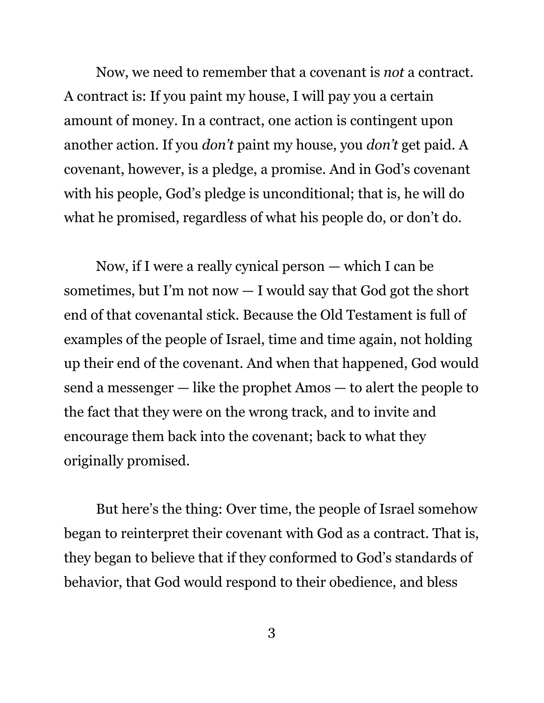Now, we need to remember that a covenant is *not* a contract. A contract is: If you paint my house, I will pay you a certain amount of money. In a contract, one action is contingent upon another action. If you *don't* paint my house, you *don't* get paid. A covenant, however, is a pledge, a promise. And in God's covenant with his people, God's pledge is unconditional; that is, he will do what he promised, regardless of what his people do, or don't do.

Now, if I were a really cynical person — which I can be sometimes, but I'm not now  $-$  I would say that God got the short end of that covenantal stick. Because the Old Testament is full of examples of the people of Israel, time and time again, not holding up their end of the covenant. And when that happened, God would send a messenger — like the prophet Amos — to alert the people to the fact that they were on the wrong track, and to invite and encourage them back into the covenant; back to what they originally promised.

But here's the thing: Over time, the people of Israel somehow began to reinterpret their covenant with God as a contract. That is, they began to believe that if they conformed to God's standards of behavior, that God would respond to their obedience, and bless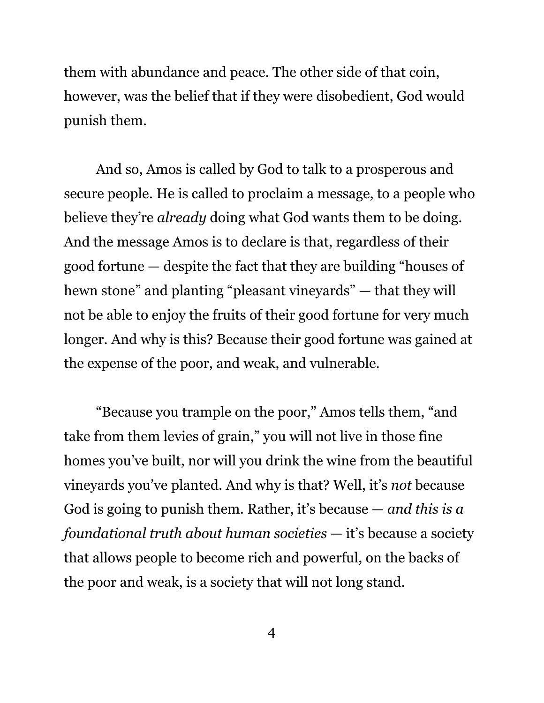them with abundance and peace. The other side of that coin, however, was the belief that if they were disobedient, God would punish them.

And so, Amos is called by God to talk to a prosperous and secure people. He is called to proclaim a message, to a people who believe they're *already* doing what God wants them to be doing. And the message Amos is to declare is that, regardless of their good fortune — despite the fact that they are building "houses of hewn stone" and planting "pleasant vineyards" — that they will not be able to enjoy the fruits of their good fortune for very much longer. And why is this? Because their good fortune was gained at the expense of the poor, and weak, and vulnerable.

"Because you trample on the poor," Amos tells them, "and take from them levies of grain," you will not live in those fine homes you've built, nor will you drink the wine from the beautiful vineyards you've planted. And why is that? Well, it's *not* because God is going to punish them. Rather, it's because — *and this is a foundational truth about human societies* — it's because a society that allows people to become rich and powerful, on the backs of the poor and weak, is a society that will not long stand.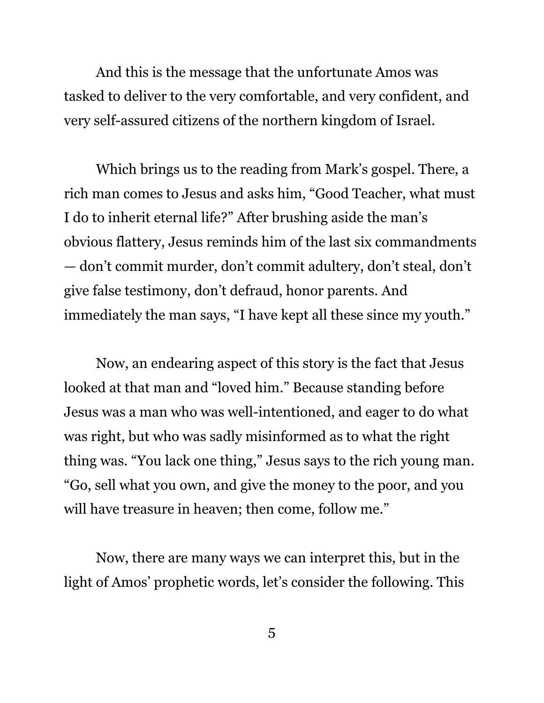And this is the message that the unfortunate Amos was tasked to deliver to the very comfortable, and very confident, and very self-assured citizens of the northern kingdom of Israel.

Which brings us to the reading from Mark's gospel. There, a rich man comes to Jesus and asks him, "Good Teacher, what must I do to inherit eternal life?" After brushing aside the man's obvious flattery, Jesus reminds him of the last six commandments — don't commit murder, don't commit adultery, don't steal, don't give false testimony, don't defraud, honor parents. And immediately the man says, "I have kept all these since my youth."

Now, an endearing aspect of this story is the fact that Jesus looked at that man and "loved him." Because standing before Jesus was a man who was well-intentioned, and eager to do what was right, but who was sadly misinformed as to what the right thing was. "You lack one thing," Jesus says to the rich young man. "Go, sell what you own, and give the money to the poor, and you will have treasure in heaven; then come, follow me."

Now, there are many ways we can interpret this, but in the light of Amos' prophetic words, let's consider the following. This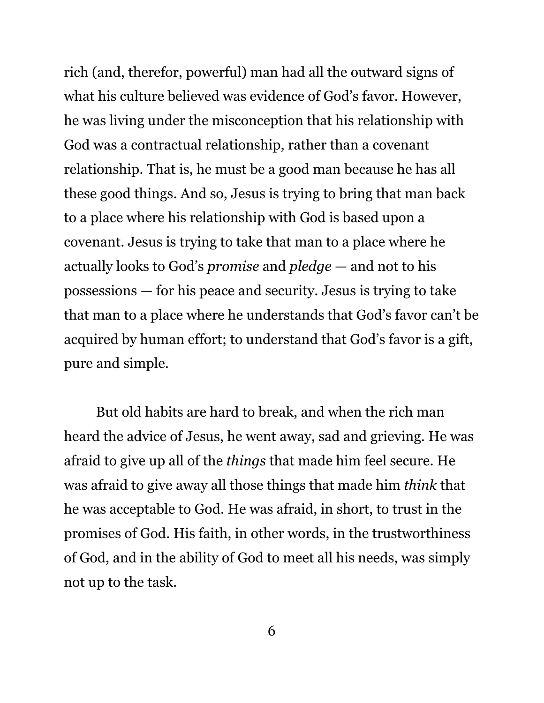rich (and, therefor, powerful) man had all the outward signs of what his culture believed was evidence of God's favor. However, he was living under the misconception that his relationship with God was a contractual relationship, rather than a covenant relationship. That is, he must be a good man because he has all these good things. And so, Jesus is trying to bring that man back to a place where his relationship with God is based upon a covenant. Jesus is trying to take that man to a place where he actually looks to God's *promise* and *pledge* — and not to his possessions — for his peace and security. Jesus is trying to take that man to a place where he understands that God's favor can't be acquired by human effort; to understand that God's favor is a gift, pure and simple.

But old habits are hard to break, and when the rich man heard the advice of Jesus, he went away, sad and grieving. He was afraid to give up all of the *things* that made him feel secure. He was afraid to give away all those things that made him *think* that he was acceptable to God. He was afraid, in short, to trust in the promises of God. His faith, in other words, in the trustworthiness of God, and in the ability of God to meet all his needs, was simply not up to the task.

6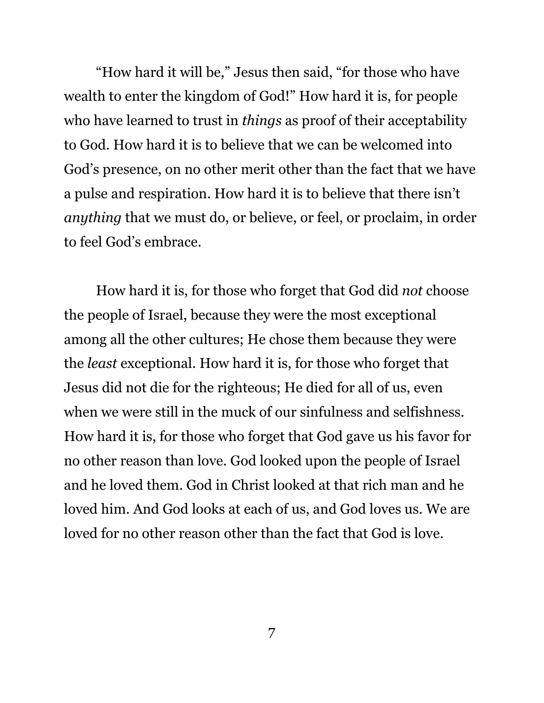"How hard it will be," Jesus then said, "for those who have wealth to enter the kingdom of God!" How hard it is, for people who have learned to trust in *things* as proof of their acceptability to God. How hard it is to believe that we can be welcomed into God's presence, on no other merit other than the fact that we have a pulse and respiration. How hard it is to believe that there isn't *anything* that we must do, or believe, or feel, or proclaim, in order to feel God's embrace.

How hard it is, for those who forget that God did *not* choose the people of Israel, because they were the most exceptional among all the other cultures; He chose them because they were the *least* exceptional. How hard it is, for those who forget that Jesus did not die for the righteous; He died for all of us, even when we were still in the muck of our sinfulness and selfishness. How hard it is, for those who forget that God gave us his favor for no other reason than love. God looked upon the people of Israel and he loved them. God in Christ looked at that rich man and he loved him. And God looks at each of us, and God loves us. We are loved for no other reason other than the fact that God is love.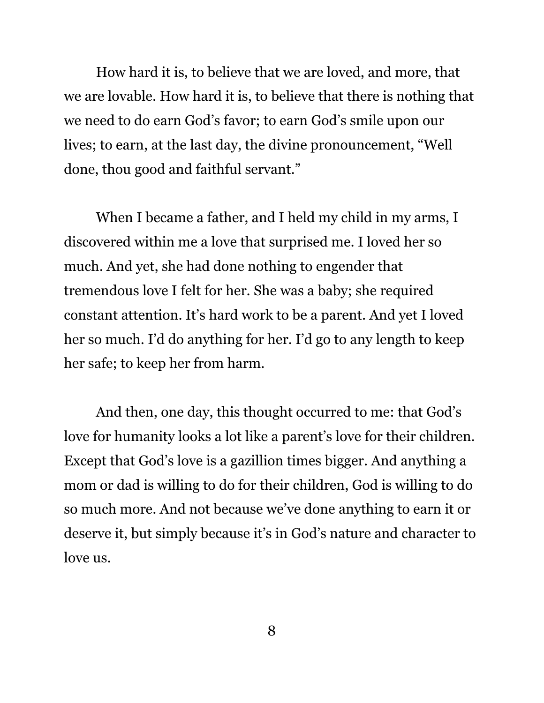How hard it is, to believe that we are loved, and more, that we are lovable. How hard it is, to believe that there is nothing that we need to do earn God's favor; to earn God's smile upon our lives; to earn, at the last day, the divine pronouncement, "Well done, thou good and faithful servant."

When I became a father, and I held my child in my arms, I discovered within me a love that surprised me. I loved her so much. And yet, she had done nothing to engender that tremendous love I felt for her. She was a baby; she required constant attention. It's hard work to be a parent. And yet I loved her so much. I'd do anything for her. I'd go to any length to keep her safe; to keep her from harm.

And then, one day, this thought occurred to me: that God's love for humanity looks a lot like a parent's love for their children. Except that God's love is a gazillion times bigger. And anything a mom or dad is willing to do for their children, God is willing to do so much more. And not because we've done anything to earn it or deserve it, but simply because it's in God's nature and character to love us.

8